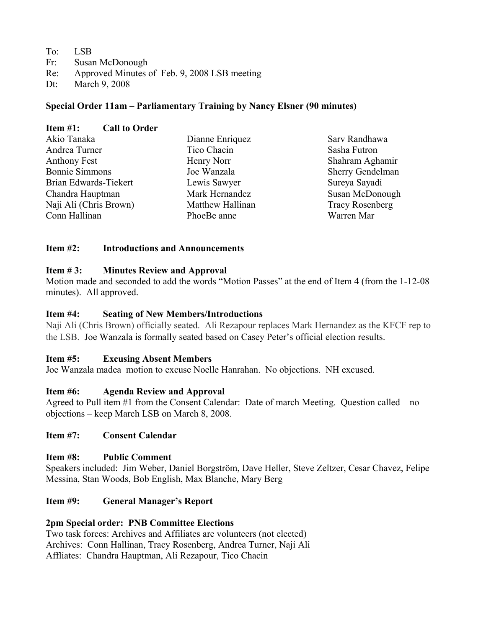| To: LSB                                 |
|-----------------------------------------|
| Fr: Susan McDonough                     |
| $R_{\alpha}$ Annough Minutes of Eah 0.2 |

- Re: Approved Minutes of Feb. 9, 2008 LSB meeting
- Dt: March 9, 2008

# **Special Order 11am – Parliamentary Training by Nancy Elsner (90 minutes)**

| Item $#1$ :            | <b>Call to Order</b> |                  |                        |
|------------------------|----------------------|------------------|------------------------|
| Akio Tanaka            |                      | Dianne Enriquez  | Sarv Randhawa          |
| Andrea Turner          |                      | Tico Chacin      | Sasha Futron           |
| <b>Anthony Fest</b>    |                      | Henry Norr       | Shahram Aghamir        |
| <b>Bonnie Simmons</b>  |                      | Joe Wanzala      | Sherry Gendelman       |
| Brian Edwards-Tiekert  |                      | Lewis Sawyer     | Sureya Sayadi          |
| Chandra Hauptman       |                      | Mark Hernandez   | Susan McDonough        |
| Naji Ali (Chris Brown) |                      | Matthew Hallinan | <b>Tracy Rosenberg</b> |
| Conn Hallinan          |                      | PhoeBe anne      | Warren Mar             |

## **Item #2: Introductions and Announcements**

## **Item # 3: Minutes Review and Approval**

Motion made and seconded to add the words "Motion Passes" at the end of Item 4 (from the 1-12-08 minutes). All approved.

## **Item #4: Seating of New Members/Introductions**

Naji Ali (Chris Brown) officially seated. Ali Rezapour replaces Mark Hernandez as the KFCF rep to the LSB. Joe Wanzala is formally seated based on Casey Peter's official election results.

## **Item #5: Excusing Absent Members**

Joe Wanzala madea motion to excuse Noelle Hanrahan. No objections. NH excused.

# **Item #6: Agenda Review and Approval**

Agreed to Pull item #1 from the Consent Calendar: Date of march Meeting. Question called – no objections – keep March LSB on March 8, 2008.

# **Item #7: Consent Calendar**

## **Item #8: Public Comment**

Speakers included: Jim Weber, Daniel Borgström, Dave Heller, Steve Zeltzer, Cesar Chavez, Felipe Messina, Stan Woods, Bob English, Max Blanche, Mary Berg

# **Item #9: General Manager's Report**

## **2pm Special order: PNB Committee Elections**

Two task forces: Archives and Affiliates are volunteers (not elected) Archives: Conn Hallinan, Tracy Rosenberg, Andrea Turner, Naji Ali Affliates: Chandra Hauptman, Ali Rezapour, Tico Chacin